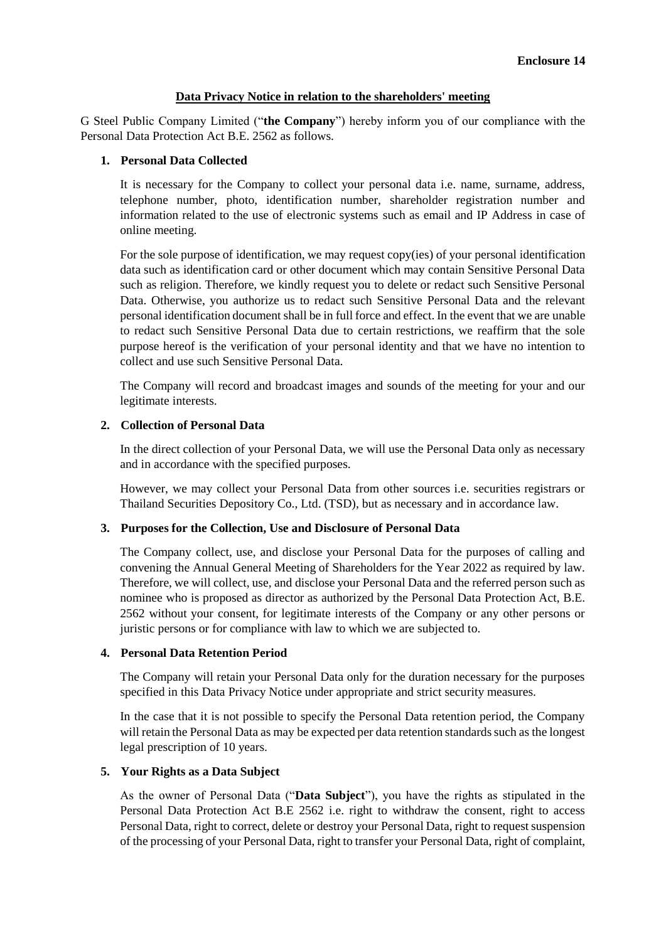## **Data Privacy Notice in relation to the shareholders' meeting**

G Steel Public Company Limited ("**the Company**") hereby inform you of our compliance with the Personal Data Protection Act B.E. 2562 as follows.

# **1. Personal Data Collected**

It is necessary for the Company to collect your personal data i.e. name, surname, address, telephone number, photo, identification number, shareholder registration number and information related to the use of electronic systems such as email and IP Address in case of online meeting.

For the sole purpose of identification, we may request copy(ies) of your personal identification data such as identification card or other document which may contain Sensitive Personal Data such as religion. Therefore, we kindly request you to delete or redact such Sensitive Personal Data. Otherwise, you authorize us to redact such Sensitive Personal Data and the relevant personal identification document shall be in full force and effect. In the event that we are unable to redact such Sensitive Personal Data due to certain restrictions, we reaffirm that the sole purpose hereof is the verification of your personal identity and that we have no intention to collect and use such Sensitive Personal Data.

The Company will record and broadcast images and sounds of the meeting for your and our legitimate interests.

## **2. Collection of Personal Data**

In the direct collection of your Personal Data, we will use the Personal Data only as necessary and in accordance with the specified purposes.

However, we may collect your Personal Data from other sources i.e. securities registrars or Thailand Securities Depository Co., Ltd. (TSD), but as necessary and in accordance law.

## **3. Purposes for the Collection, Use and Disclosure of Personal Data**

The Company collect, use, and disclose your Personal Data for the purposes of calling and convening the Annual General Meeting of Shareholders for the Year 2022 as required by law. Therefore, we will collect, use, and disclose your Personal Data and the referred person such as nominee who is proposed as director as authorized by the Personal Data Protection Act, B.E. 2562 without your consent, for legitimate interests of the Company or any other persons or juristic persons or for compliance with law to which we are subjected to.

## **4. Personal Data Retention Period**

The Company will retain your Personal Data only for the duration necessary for the purposes specified in this Data Privacy Notice under appropriate and strict security measures.

In the case that it is not possible to specify the Personal Data retention period, the Company will retain the Personal Data as may be expected per data retention standards such as the longest legal prescription of 10 years.

## **5. Your Rights as a Data Subject**

As the owner of Personal Data ("**Data Subject**"), you have the rights as stipulated in the Personal Data Protection Act B.E 2562 i.e. right to withdraw the consent, right to access Personal Data, right to correct, delete or destroy your Personal Data, right to request suspension of the processing of your Personal Data, right to transfer your Personal Data, right of complaint,